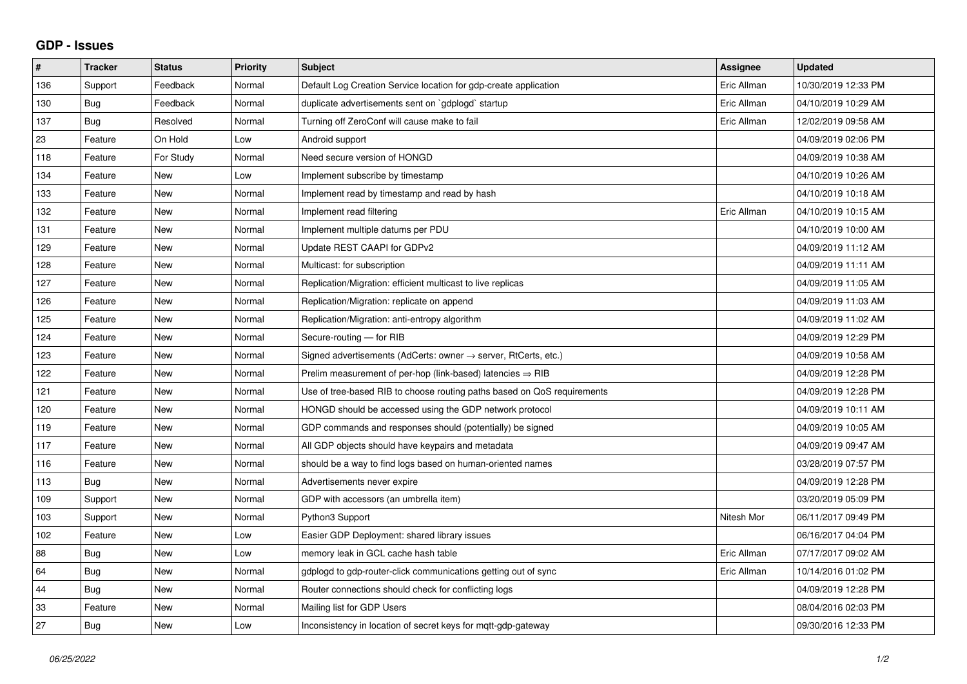## **GDP - Issues**

| $\sharp$ | <b>Tracker</b> | <b>Status</b> | <b>Priority</b> | <b>Subject</b>                                                          | Assignee    | <b>Updated</b>      |
|----------|----------------|---------------|-----------------|-------------------------------------------------------------------------|-------------|---------------------|
| 136      | Support        | Feedback      | Normal          | Default Log Creation Service location for gdp-create application        | Eric Allman | 10/30/2019 12:33 PM |
| 130      | <b>Bug</b>     | Feedback      | Normal          | duplicate advertisements sent on `gdplogd` startup                      | Eric Allman | 04/10/2019 10:29 AM |
| 137      | <b>Bug</b>     | Resolved      | Normal          | Turning off ZeroConf will cause make to fail                            | Eric Allman | 12/02/2019 09:58 AM |
| 23       | Feature        | On Hold       | Low             | Android support                                                         |             | 04/09/2019 02:06 PM |
| 118      | Feature        | For Study     | Normal          | Need secure version of HONGD                                            |             | 04/09/2019 10:38 AM |
| 134      | Feature        | <b>New</b>    | Low             | Implement subscribe by timestamp                                        |             | 04/10/2019 10:26 AM |
| 133      | Feature        | <b>New</b>    | Normal          | Implement read by timestamp and read by hash                            |             | 04/10/2019 10:18 AM |
| 132      | Feature        | <b>New</b>    | Normal          | Implement read filtering                                                | Eric Allman | 04/10/2019 10:15 AM |
| 131      | Feature        | <b>New</b>    | Normal          | Implement multiple datums per PDU                                       |             | 04/10/2019 10:00 AM |
| 129      | Feature        | <b>New</b>    | Normal          | Update REST CAAPI for GDPv2                                             |             | 04/09/2019 11:12 AM |
| 128      | Feature        | <b>New</b>    | Normal          | Multicast: for subscription                                             |             | 04/09/2019 11:11 AM |
| 127      | Feature        | <b>New</b>    | Normal          | Replication/Migration: efficient multicast to live replicas             |             | 04/09/2019 11:05 AM |
| 126      | Feature        | <b>New</b>    | Normal          | Replication/Migration: replicate on append                              |             | 04/09/2019 11:03 AM |
| 125      | Feature        | <b>New</b>    | Normal          | Replication/Migration: anti-entropy algorithm                           |             | 04/09/2019 11:02 AM |
| 124      | Feature        | <b>New</b>    | Normal          | Secure-routing - for RIB                                                |             | 04/09/2019 12:29 PM |
| 123      | Feature        | <b>New</b>    | Normal          | Signed advertisements (AdCerts: owner → server, RtCerts, etc.)          |             | 04/09/2019 10:58 AM |
| 122      | Feature        | <b>New</b>    | Normal          | Prelim measurement of per-hop (link-based) latencies $\Rightarrow$ RIB  |             | 04/09/2019 12:28 PM |
| 121      | Feature        | <b>New</b>    | Normal          | Use of tree-based RIB to choose routing paths based on QoS requirements |             | 04/09/2019 12:28 PM |
| 120      | Feature        | <b>New</b>    | Normal          | HONGD should be accessed using the GDP network protocol                 |             | 04/09/2019 10:11 AM |
| 119      | Feature        | <b>New</b>    | Normal          | GDP commands and responses should (potentially) be signed               |             | 04/09/2019 10:05 AM |
| 117      | Feature        | <b>New</b>    | Normal          | All GDP objects should have keypairs and metadata                       |             | 04/09/2019 09:47 AM |
| 116      | Feature        | <b>New</b>    | Normal          | should be a way to find logs based on human-oriented names              |             | 03/28/2019 07:57 PM |
| 113      | Bug            | <b>New</b>    | Normal          | Advertisements never expire                                             |             | 04/09/2019 12:28 PM |
| 109      | Support        | <b>New</b>    | Normal          | GDP with accessors (an umbrella item)                                   |             | 03/20/2019 05:09 PM |
| 103      | Support        | New           | Normal          | Python3 Support                                                         | Nitesh Mor  | 06/11/2017 09:49 PM |
| 102      | Feature        | <b>New</b>    | Low             | Easier GDP Deployment: shared library issues                            |             | 06/16/2017 04:04 PM |
| 88       | Bug            | <b>New</b>    | Low             | memory leak in GCL cache hash table                                     | Eric Allman | 07/17/2017 09:02 AM |
| 64       | Bug            | New           | Normal          | gdplogd to gdp-router-click communications getting out of sync          | Eric Allman | 10/14/2016 01:02 PM |
| 44       | Bug            | <b>New</b>    | Normal          | Router connections should check for conflicting logs                    |             | 04/09/2019 12:28 PM |
| 33       | Feature        | <b>New</b>    | Normal          | Mailing list for GDP Users                                              |             | 08/04/2016 02:03 PM |
| 27       | <b>Bug</b>     | New           | Low             | Inconsistency in location of secret keys for mgtt-gdp-gateway           |             | 09/30/2016 12:33 PM |